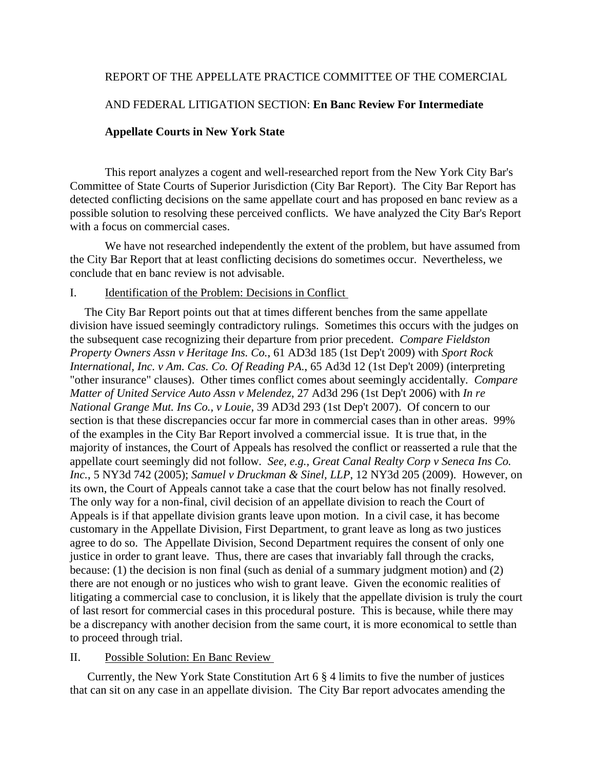# REPORT OF THE APPELLATE PRACTICE COMMITTEE OF THE COMERCIAL

# AND FEDERAL LITIGATION SECTION: **En Banc Review For Intermediate**

### **Appellate Courts in New York State**

 This report analyzes a cogent and well-researched report from the New York City Bar's Committee of State Courts of Superior Jurisdiction (City Bar Report). The City Bar Report has detected conflicting decisions on the same appellate court and has proposed en banc review as a possible solution to resolving these perceived conflicts. We have analyzed the City Bar's Report with a focus on commercial cases.

We have not researched independently the extent of the problem, but have assumed from the City Bar Report that at least conflicting decisions do sometimes occur. Nevertheless, we conclude that en banc review is not advisable.

#### I. Identification of the Problem: Decisions in Conflict

 The City Bar Report points out that at times different benches from the same appellate division have issued seemingly contradictory rulings. Sometimes this occurs with the judges on the subsequent case recognizing their departure from prior precedent. *Compare Fieldston Property Owners Assn v Heritage Ins. Co.*, 61 AD3d 185 (1st Dep't 2009) with *Sport Rock International, Inc. v Am. Cas. Co. Of Reading PA.*, 65 Ad3d 12 (1st Dep't 2009) (interpreting "other insurance" clauses). Other times conflict comes about seemingly accidentally*. Compare Matter of United Service Auto Assn v Melendez*, 27 Ad3d 296 (1st Dep't 2006) with *In re National Grange Mut. Ins Co., v Louie*, 39 AD3d 293 (1st Dep't 2007). Of concern to our section is that these discrepancies occur far more in commercial cases than in other areas. 99% of the examples in the City Bar Report involved a commercial issue. It is true that, in the majority of instances, the Court of Appeals has resolved the conflict or reasserted a rule that the appellate court seemingly did not follow*. See, e.g., Great Canal Realty Corp v Seneca Ins Co. Inc.*, 5 NY3d 742 (2005); *Samuel v Druckman & Sinel, LLP*, 12 NY3d 205 (2009). However, on its own, the Court of Appeals cannot take a case that the court below has not finally resolved. The only way for a non-final, civil decision of an appellate division to reach the Court of Appeals is if that appellate division grants leave upon motion. In a civil case, it has become customary in the Appellate Division, First Department, to grant leave as long as two justices agree to do so. The Appellate Division, Second Department requires the consent of only one justice in order to grant leave. Thus, there are cases that invariably fall through the cracks, because: (1) the decision is non final (such as denial of a summary judgment motion) and (2) there are not enough or no justices who wish to grant leave. Given the economic realities of litigating a commercial case to conclusion, it is likely that the appellate division is truly the court of last resort for commercial cases in this procedural posture. This is because, while there may be a discrepancy with another decision from the same court, it is more economical to settle than to proceed through trial.

## II. Possible Solution: En Banc Review

 Currently, the New York State Constitution Art 6 § 4 limits to five the number of justices that can sit on any case in an appellate division. The City Bar report advocates amending the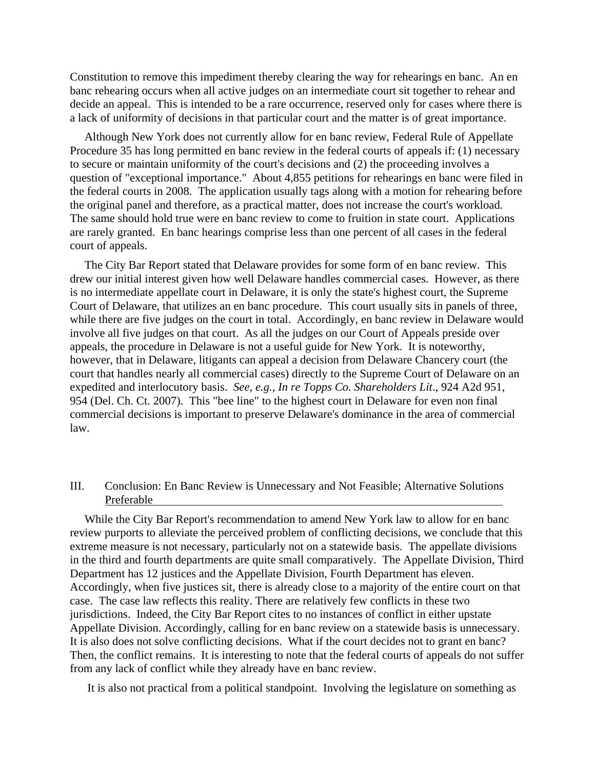Constitution to remove this impediment thereby clearing the way for rehearings en banc. An en banc rehearing occurs when all active judges on an intermediate court sit together to rehear and decide an appeal. This is intended to be a rare occurrence, reserved only for cases where there is a lack of uniformity of decisions in that particular court and the matter is of great importance.

 Although New York does not currently allow for en banc review, Federal Rule of Appellate Procedure 35 has long permitted en banc review in the federal courts of appeals if: (1) necessary to secure or maintain uniformity of the court's decisions and (2) the proceeding involves a question of "exceptional importance." About 4,855 petitions for rehearings en banc were filed in the federal courts in 2008. The application usually tags along with a motion for rehearing before the original panel and therefore, as a practical matter, does not increase the court's workload. The same should hold true were en banc review to come to fruition in state court. Applications are rarely granted. En banc hearings comprise less than one percent of all cases in the federal court of appeals.

 The City Bar Report stated that Delaware provides for some form of en banc review. This drew our initial interest given how well Delaware handles commercial cases. However, as there is no intermediate appellate court in Delaware, it is only the state's highest court, the Supreme Court of Delaware, that utilizes an en banc procedure. This court usually sits in panels of three, while there are five judges on the court in total. Accordingly, en banc review in Delaware would involve all five judges on that court. As all the judges on our Court of Appeals preside over appeals, the procedure in Delaware is not a useful guide for New York. It is noteworthy, however, that in Delaware, litigants can appeal a decision from Delaware Chancery court (the court that handles nearly all commercial cases) directly to the Supreme Court of Delaware on an expedited and interlocutory basis. *See, e.g., In re Topps Co. Shareholders Lit*., 924 A2d 951, 954 (Del. Ch. Ct. 2007). This "bee line" to the highest court in Delaware for even non final commercial decisions is important to preserve Delaware's dominance in the area of commercial law.

# III. Conclusion: En Banc Review is Unnecessary and Not Feasible; Alternative Solutions Preferable

 While the City Bar Report's recommendation to amend New York law to allow for en banc review purports to alleviate the perceived problem of conflicting decisions, we conclude that this extreme measure is not necessary, particularly not on a statewide basis. The appellate divisions in the third and fourth departments are quite small comparatively. The Appellate Division, Third Department has 12 justices and the Appellate Division, Fourth Department has eleven. Accordingly, when five justices sit, there is already close to a majority of the entire court on that case. The case law reflects this reality. There are relatively few conflicts in these two jurisdictions. Indeed, the City Bar Report cites to no instances of conflict in either upstate Appellate Division. Accordingly, calling for en banc review on a statewide basis is unnecessary. It is also does not solve conflicting decisions. What if the court decides not to grant en banc? Then, the conflict remains. It is interesting to note that the federal courts of appeals do not suffer from any lack of conflict while they already have en banc review.

It is also not practical from a political standpoint. Involving the legislature on something as